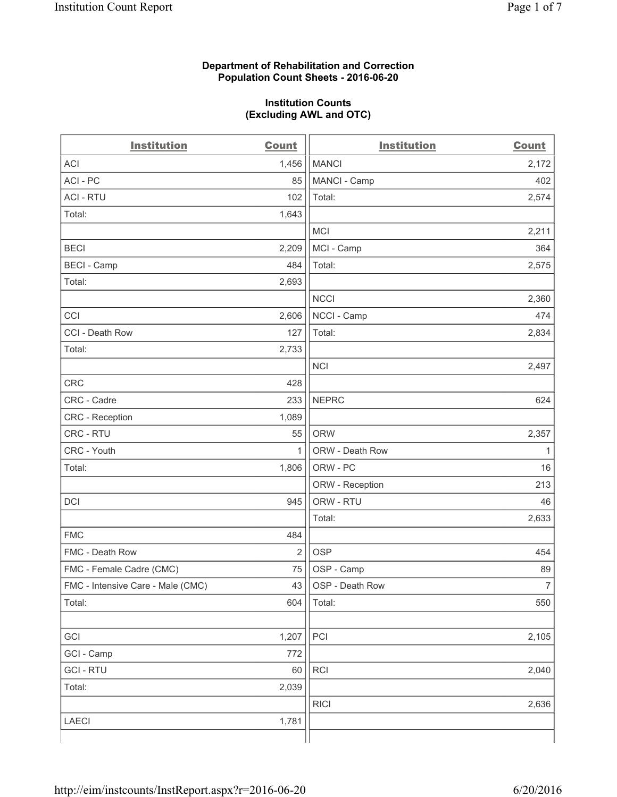#### **Department of Rehabilitation and Correction Population Count Sheets - 2016-06-20**

#### **Institution Counts (Excluding AWL and OTC)**

| <b>Institution</b>                | <b>Count</b>   | <b>Institution</b> | <b>Count</b>   |
|-----------------------------------|----------------|--------------------|----------------|
| <b>ACI</b>                        | 1,456          | <b>MANCI</b>       | 2,172          |
| ACI-PC                            | 85             | MANCI - Camp       | 402            |
| <b>ACI - RTU</b>                  | 102            | Total:             | 2,574          |
| Total:                            | 1,643          |                    |                |
|                                   |                | <b>MCI</b>         | 2,211          |
| <b>BECI</b>                       | 2,209          | MCI - Camp         | 364            |
| <b>BECI</b> - Camp                | 484            | Total:             | 2,575          |
| Total:                            | 2,693          |                    |                |
|                                   |                | <b>NCCI</b>        | 2,360          |
| CCI                               | 2,606          | NCCI - Camp        | 474            |
| CCI - Death Row                   | 127            | Total:             | 2,834          |
| Total:                            | 2,733          |                    |                |
|                                   |                | <b>NCI</b>         | 2,497          |
| <b>CRC</b>                        | 428            |                    |                |
| CRC - Cadre                       | 233            | <b>NEPRC</b>       | 624            |
| CRC - Reception                   | 1,089          |                    |                |
| CRC - RTU                         | 55             | <b>ORW</b>         | 2,357          |
| CRC - Youth                       | 1              | ORW - Death Row    | 1              |
| Total:                            | 1,806          | ORW - PC           | 16             |
|                                   |                | ORW - Reception    | 213            |
| DCI                               | 945            | ORW - RTU          | 46             |
|                                   |                | Total:             | 2,633          |
| <b>FMC</b>                        | 484            |                    |                |
| FMC - Death Row                   | $\overline{2}$ | <b>OSP</b>         | 454            |
| FMC - Female Cadre (CMC)          | 75             | OSP - Camp         | 89             |
| FMC - Intensive Care - Male (CMC) | 43             | OSP - Death Row    | $\overline{7}$ |
| Total:                            | 604            | Total:             | 550            |
|                                   |                |                    |                |
| GCI                               | 1,207          | PCI                | 2,105          |
| GCI - Camp                        | 772            |                    |                |
| <b>GCI - RTU</b>                  | 60             | RCI                | 2,040          |
| Total:                            | 2,039          |                    |                |
|                                   |                | <b>RICI</b>        | 2,636          |
| <b>LAECI</b>                      | 1,781          |                    |                |
|                                   |                |                    |                |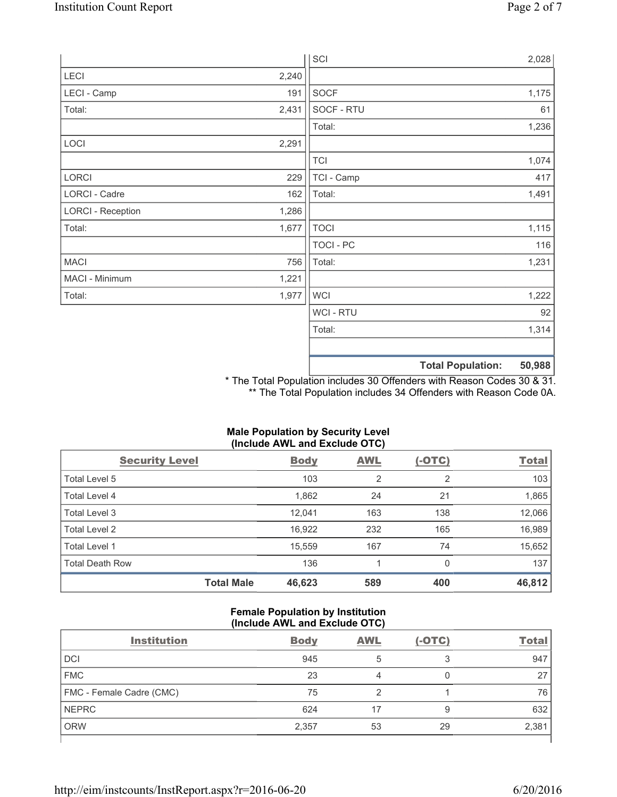|                          |       | SCI            |                          | 2,028  |
|--------------------------|-------|----------------|--------------------------|--------|
| LECI                     | 2,240 |                |                          |        |
| LECI - Camp              | 191   | SOCF           |                          | 1,175  |
| Total:                   | 2,431 | SOCF - RTU     |                          | 61     |
|                          |       | Total:         |                          | 1,236  |
| LOCI                     | 2,291 |                |                          |        |
|                          |       | <b>TCI</b>     |                          | 1,074  |
| LORCI                    | 229   | TCI - Camp     |                          | 417    |
| LORCI - Cadre            | 162   | Total:         |                          | 1,491  |
| <b>LORCI - Reception</b> | 1,286 |                |                          |        |
| Total:                   | 1,677 | <b>TOCI</b>    |                          | 1,115  |
|                          |       | TOCI - PC      |                          | 116    |
| <b>MACI</b>              | 756   | Total:         |                          | 1,231  |
| MACI - Minimum           | 1,221 |                |                          |        |
| Total:                   | 1,977 | <b>WCI</b>     |                          | 1,222  |
|                          |       | <b>WCI-RTU</b> |                          | 92     |
|                          |       | Total:         |                          | 1,314  |
|                          |       |                | <b>Total Population:</b> | 50,988 |

\* The Total Population includes 30 Offenders with Reason Codes 30 & 31. \*\* The Total Population includes 34 Offenders with Reason Code 0A.

# **Male Population by Security Level (Include AWL and Exclude OTC)**

| <b>Security Level</b>  |                   | <b>Body</b> | AWL            | $(-OTC)$       | <b>Total</b> |
|------------------------|-------------------|-------------|----------------|----------------|--------------|
| Total Level 5          |                   | 103         | $\overline{2}$ | $\overline{2}$ | 103          |
| Total Level 4          |                   | 1,862       | 24             | 21             | 1,865        |
| Total Level 3          |                   | 12,041      | 163            | 138            | 12,066       |
| Total Level 2          |                   | 16,922      | 232            | 165            | 16,989       |
| Total Level 1          |                   | 15,559      | 167            | 74             | 15,652       |
| <b>Total Death Row</b> |                   | 136         |                | 0              | 137          |
|                        | <b>Total Male</b> | 46,623      | 589            | 400            | 46,812       |

#### **Female Population by Institution (Include AWL and Exclude OTC)**

| <b>Institution</b>       | <b>Body</b> | <b>AWL</b> | $(-OTC)$ | <b>Total</b> |
|--------------------------|-------------|------------|----------|--------------|
| <b>DCI</b>               | 945         |            | ◠        | 947          |
| <b>FMC</b>               | 23          |            |          | 27           |
| FMC - Female Cadre (CMC) | 75          |            |          | 76           |
| <b>NEPRC</b>             | 624         |            | 9        | 632          |
| <b>ORW</b>               | 2,357       | 53         | 29       | 2,381        |
|                          |             |            |          |              |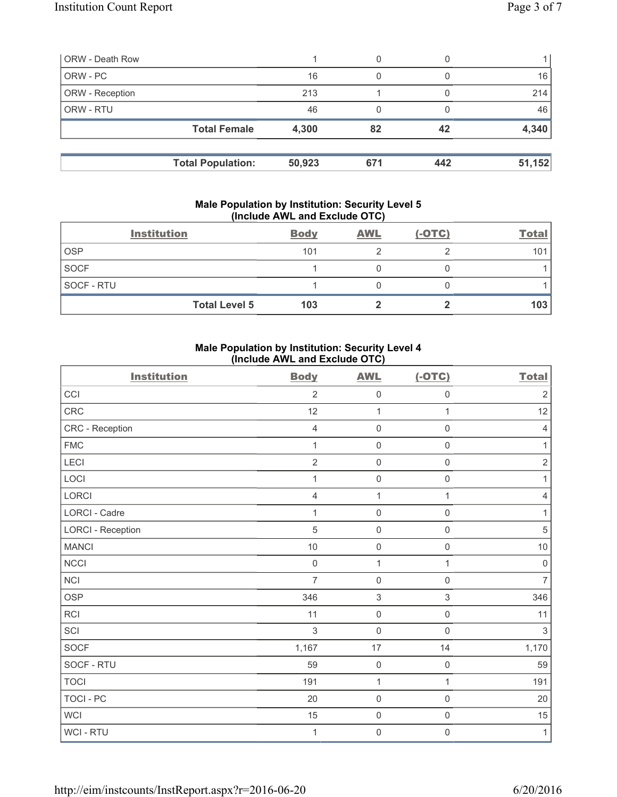| <b>ORW - Death Row</b> |                          |        | 0   |     |        |
|------------------------|--------------------------|--------|-----|-----|--------|
| ORW - PC               |                          | 16     | 0   |     | 16     |
| ORW - Reception        |                          | 213    |     |     | 214    |
| ORW - RTU              |                          | 46     | 0   |     | 46     |
|                        | <b>Total Female</b>      | 4,300  | 82  | 42  | 4,340  |
|                        | <b>Total Population:</b> | 50,923 | 671 | 442 | 51,152 |

#### **Male Population by Institution: Security Level 5 (Include AWL and Exclude OTC)**

|                   | <b>Institution</b>   | <b>Body</b> | <b>AWL</b> | $(-OTC)$ | <b>Total</b> |
|-------------------|----------------------|-------------|------------|----------|--------------|
| <b>OSP</b>        |                      | 101         |            |          | 101          |
| <b>SOCF</b>       |                      |             |            |          |              |
| <b>SOCF - RTU</b> |                      |             |            |          |              |
|                   | <b>Total Level 5</b> | 103         |            |          | 103          |

## **Male Population by Institution: Security Level 4 (Include AWL and Exclude OTC)**

| <b>Institution</b>       | <b>Body</b>    | <b>AWL</b>          | $(-OTC)$            | <b>Total</b>   |
|--------------------------|----------------|---------------------|---------------------|----------------|
| CCI                      | $\overline{2}$ | $\mathsf{O}\xspace$ | $\mathsf 0$         | $\sqrt{2}$     |
| CRC                      | 12             | $\mathbf{1}$        | $\mathbf{1}$        | 12             |
| CRC - Reception          | $\overline{4}$ | $\mathsf{O}\xspace$ | 0                   | $\overline{4}$ |
| <b>FMC</b>               | 1              | $\mathsf{O}\xspace$ | $\mathsf{O}\xspace$ | $\mathbf{1}$   |
| LECI                     | $\overline{2}$ | $\mathsf{O}\xspace$ | $\mathsf{O}\xspace$ | $\sqrt{2}$     |
| LOCI                     | 1              | $\mathsf{O}\xspace$ | $\mathsf 0$         | $\mathbf{1}$   |
| LORCI                    | $\overline{4}$ | $\mathbf{1}$        | $\mathbf{1}$        | $\overline{4}$ |
| LORCI - Cadre            | 1              | $\mathsf{O}\xspace$ | $\mathsf 0$         | 1              |
| <b>LORCI - Reception</b> | $\overline{5}$ | $\mathbf 0$         | $\mathsf{O}\xspace$ | $\overline{5}$ |
| <b>MANCI</b>             | 10             | $\mathsf{O}\xspace$ | $\mathsf{O}\xspace$ | $10$           |
| NCCI                     | $\mathsf 0$    | $\mathbf{1}$        | $\mathbf{1}$        | $\mathsf 0$    |
| <b>NCI</b>               | $\overline{7}$ | $\mathbf 0$         | $\mathsf{O}\xspace$ | $\overline{7}$ |
| <b>OSP</b>               | 346            | $\,$ 3 $\,$         | $\,$ 3 $\,$         | 346            |
| <b>RCI</b>               | 11             | $\mathsf{O}\xspace$ | $\mathsf{O}\xspace$ | 11             |
| SCI                      | $\mathfrak{S}$ | $\mathsf{O}\xspace$ | $\mathbf 0$         | $\mathfrak{Z}$ |
| <b>SOCF</b>              | 1,167          | 17                  | 14                  | 1,170          |
| SOCF - RTU               | 59             | $\mathsf{O}\xspace$ | $\mathsf 0$         | 59             |
| <b>TOCI</b>              | 191            | $\mathbf 1$         | $\mathbf{1}$        | 191            |
| <b>TOCI - PC</b>         | 20             | $\mathbf 0$         | $\mathsf{O}\xspace$ | 20             |
| <b>WCI</b>               | 15             | $\mathsf{O}\xspace$ | $\mathsf 0$         | 15             |
| WCI - RTU                | 1              | $\mathsf 0$         | $\mathsf{O}\xspace$ | $\mathbf{1}$   |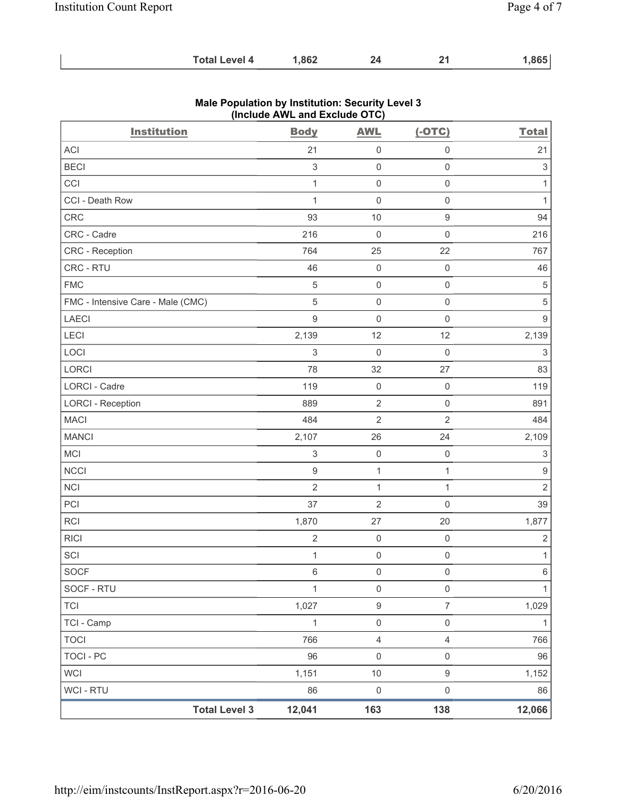| <b>Total Level 4</b> | ,862 |  |  | ,865 |
|----------------------|------|--|--|------|
|----------------------|------|--|--|------|

| <b>Institution</b>                | $($ nolddo Affe and Exolddo Oro $)$<br><b>Body</b> | <b>AWL</b>          | $(-OTC)$            | <b>Total</b>              |
|-----------------------------------|----------------------------------------------------|---------------------|---------------------|---------------------------|
| ACI                               | 21                                                 | $\mathsf{O}\xspace$ | $\mathbf 0$         | 21                        |
| <b>BECI</b>                       | $\ensuremath{\mathsf{3}}$                          | $\mathbf 0$         | $\mathsf{O}\xspace$ | $\ensuremath{\mathsf{3}}$ |
| CCI                               | $\mathbf{1}$                                       | $\mathsf{O}\xspace$ | $\mathsf{O}\xspace$ | $\mathbf{1}$              |
| CCI - Death Row                   | $\mathbf{1}$                                       | $\mathsf{O}\xspace$ | $\mathsf{O}\xspace$ | $\mathbf{1}$              |
| CRC                               | 93                                                 | 10                  | $\mathsf g$         | 94                        |
| CRC - Cadre                       | 216                                                | $\mathsf{O}\xspace$ | $\mathsf{O}\xspace$ | 216                       |
| CRC - Reception                   | 764                                                | 25                  | 22                  | 767                       |
| CRC - RTU                         | 46                                                 | $\mathsf{O}\xspace$ | $\mathsf{O}\xspace$ | 46                        |
| ${\sf FMC}$                       | $\sqrt{5}$                                         | $\mathsf{O}\xspace$ | $\mathsf{O}\xspace$ | 5                         |
| FMC - Intensive Care - Male (CMC) | 5                                                  | $\mathsf{O}\xspace$ | $\mathsf{O}\xspace$ | $\,$ 5 $\,$               |
| <b>LAECI</b>                      | $\boldsymbol{9}$                                   | $\mathsf{O}\xspace$ | $\mathsf{O}\xspace$ | $\boldsymbol{9}$          |
| LECI                              | 2,139                                              | 12                  | 12                  | 2,139                     |
| LOCI                              | 3                                                  | $\mathsf{O}\xspace$ | $\mathsf{O}\xspace$ | $\mathfrak{S}$            |
| LORCI                             | 78                                                 | 32                  | 27                  | 83                        |
| <b>LORCI - Cadre</b>              | 119                                                | $\mathsf{O}\xspace$ | $\mathsf{O}\xspace$ | 119                       |
| <b>LORCI - Reception</b>          | 889                                                | $\sqrt{2}$          | $\mathsf 0$         | 891                       |
| <b>MACI</b>                       | 484                                                | $\mathbf 2$         | $\overline{2}$      | 484                       |
| <b>MANCI</b>                      | 2,107                                              | 26                  | 24                  | 2,109                     |
| MCI                               | $\mathfrak{S}$                                     | $\mathsf{O}\xspace$ | $\mathsf{O}\xspace$ | $\ensuremath{\mathsf{3}}$ |
| <b>NCCI</b>                       | $\mathsf g$                                        | $\mathbf{1}$        | $\mathbf{1}$        | $\boldsymbol{9}$          |
| <b>NCI</b>                        | $\overline{2}$                                     | $\mathbf{1}$        | $\mathbf{1}$        | $\overline{2}$            |
| PCI                               | 37                                                 | $\mathbf 2$         | $\mathsf{O}\xspace$ | 39                        |
| RCI                               | 1,870                                              | 27                  | 20                  | 1,877                     |
| <b>RICI</b>                       | $\overline{2}$                                     | $\mathsf{O}\xspace$ | $\mathsf 0$         | $\overline{2}$            |
| SCI                               | $\mathbf{1}$                                       | $\mathsf{O}\xspace$ | $\mathsf{O}\xspace$ | $\mathbf{1}$              |
| <b>SOCF</b>                       | $\,6$                                              | $\mathsf{O}\xspace$ | $\mathsf{O}\xspace$ | 6                         |
| SOCF - RTU                        | $\mathbf{1}$                                       | $\mathsf 0$         | $\mathsf{O}\xspace$ | $\mathbf{1}$              |
| <b>TCI</b>                        | 1,027                                              | $\boldsymbol{9}$    | $\overline{7}$      | 1,029                     |
| TCI - Camp                        | $\mathbf{1}$                                       | $\mathsf 0$         | $\mathsf{O}\xspace$ | $\mathbf{1}$              |
| <b>TOCI</b>                       | 766                                                | $\overline{4}$      | $\overline{4}$      | 766                       |
| <b>TOCI - PC</b>                  | 96                                                 | $\mathsf{O}\xspace$ | $\mathsf{O}\xspace$ | 96                        |
| <b>WCI</b>                        | 1,151                                              | $10$                | $\boldsymbol{9}$    | 1,152                     |
| WCI - RTU                         | 86                                                 | $\mathsf{O}\xspace$ | $\mathsf{O}\xspace$ | 86                        |
| <b>Total Level 3</b>              | 12,041                                             | 163                 | 138                 | 12,066                    |

## **Male Population by Institution: Security Level 3 (Include AWL and Exclude OTC)**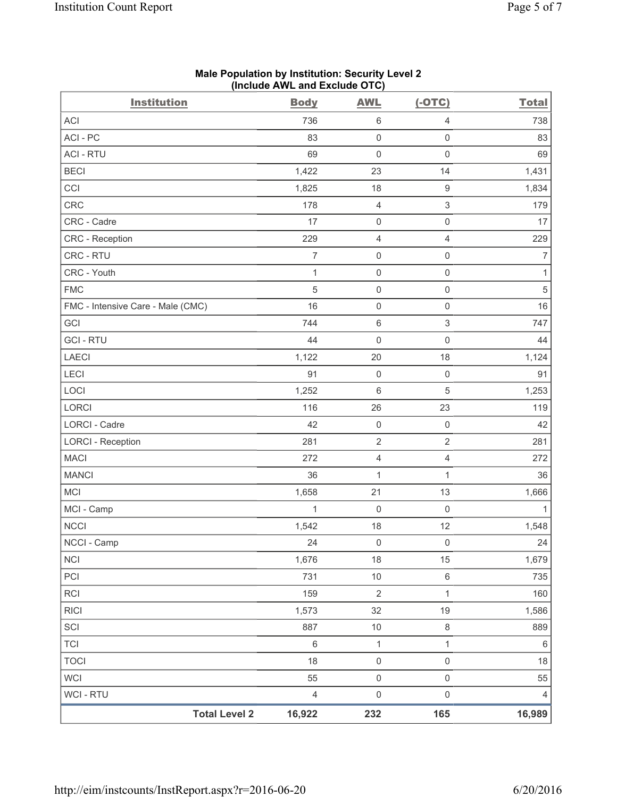| <b>Institution</b>                | <b>Body</b>    | <b>AWL</b>          | $(-OTC)$            | <b>Total</b>   |
|-----------------------------------|----------------|---------------------|---------------------|----------------|
| <b>ACI</b>                        | 736            | 6                   | $\overline{4}$      | 738            |
| ACI - PC                          | 83             | $\boldsymbol{0}$    | $\mathbf 0$         | 83             |
| <b>ACI - RTU</b>                  | 69             | $\mathsf 0$         | $\mathsf 0$         | 69             |
| <b>BECI</b>                       | 1,422          | 23                  | 14                  | 1,431          |
| CCI                               | 1,825          | 18                  | $\mathsf g$         | 1,834          |
| CRC                               | 178            | 4                   | 3                   | 179            |
| CRC - Cadre                       | 17             | 0                   | $\mathsf 0$         | 17             |
| <b>CRC</b> - Reception            | 229            | 4                   | $\overline{4}$      | 229            |
| CRC - RTU                         | $\overline{7}$ | $\mathsf{O}\xspace$ | $\mathsf{O}\xspace$ | 7              |
| CRC - Youth                       | $\mathbf 1$    | $\mathsf 0$         | $\mathsf 0$         | $\mathbf{1}$   |
| <b>FMC</b>                        | $\sqrt{5}$     | 0                   | $\mathsf 0$         | $\,$ 5 $\,$    |
| FMC - Intensive Care - Male (CMC) | 16             | 0                   | $\mathsf 0$         | 16             |
| GCI                               | 744            | $\,6$               | $\mathsf 3$         | 747            |
| <b>GCI - RTU</b>                  | 44             | $\mathsf{O}\xspace$ | $\mathsf{O}\xspace$ | 44             |
| <b>LAECI</b>                      | 1,122          | 20                  | 18                  | 1,124          |
| LECI                              | 91             | $\mathsf{O}\xspace$ | $\mathsf 0$         | 91             |
| LOCI                              | 1,252          | 6                   | 5                   | 1,253          |
| LORCI                             | 116            | 26                  | 23                  | 119            |
| LORCI - Cadre                     | 42             | $\mathsf{O}\xspace$ | $\mathsf{O}\xspace$ | 42             |
| <b>LORCI - Reception</b>          | 281            | $\sqrt{2}$          | $\overline{2}$      | 281            |
| <b>MACI</b>                       | 272            | 4                   | $\overline{4}$      | 272            |
| <b>MANCI</b>                      | 36             | $\mathbf{1}$        | $\mathbf{1}$        | 36             |
| <b>MCI</b>                        | 1,658          | 21                  | 13                  | 1,666          |
| MCI - Camp                        | 1              | $\mathsf{O}\xspace$ | $\mathbf 0$         | 1              |
| <b>NCCI</b>                       | 1,542          | 18                  | 12                  | 1,548          |
| NCCI - Camp                       | 24             | $\mathsf{O}\xspace$ | $\mathsf 0$         | 24             |
| <b>NCI</b>                        | 1,676          | 18                  | 15                  | 1,679          |
| PCI                               | 731            | $10$                | $\,6\,$             | 735            |
| <b>RCI</b>                        | 159            | $\sqrt{2}$          | 1                   | 160            |
| <b>RICI</b>                       | 1,573          | 32                  | 19                  | 1,586          |
| SCI                               | 887            | $10$                | $\,8\,$             | 889            |
| <b>TCI</b>                        | $\,6\,$        | $\mathbf{1}$        | $\mathbf{1}$        | $\,6\,$        |
| <b>TOCI</b>                       | 18             | $\mathsf{O}\xspace$ | $\mathsf{O}\xspace$ | 18             |
| <b>WCI</b>                        | 55             | $\mathsf 0$         | $\mathsf{O}\xspace$ | 55             |
| WCI - RTU                         | $\overline{4}$ | $\mathsf{O}\xspace$ | $\mathsf 0$         | $\overline{4}$ |
| <b>Total Level 2</b>              | 16,922         | 232                 | 165                 | 16,989         |

### **Male Population by Institution: Security Level 2 (Include AWL and Exclude OTC)**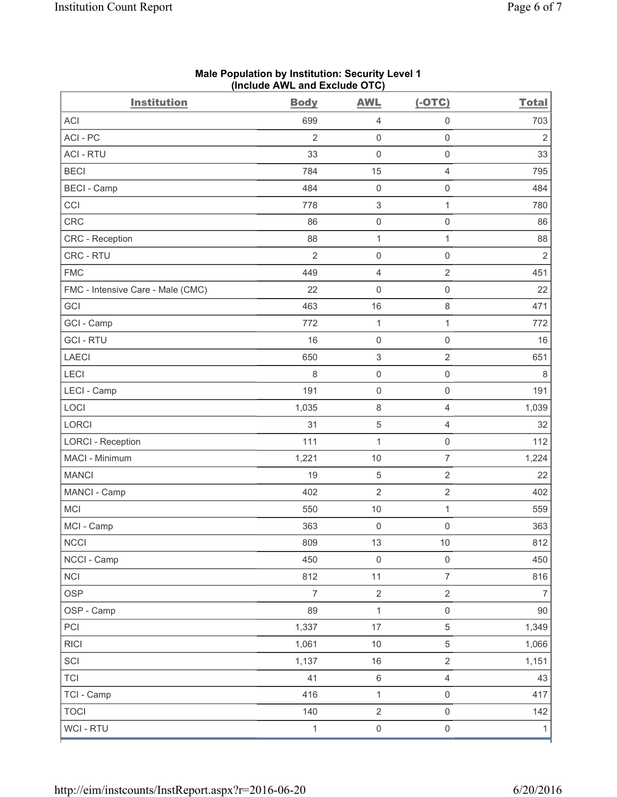| <b>Institution</b>                | <b>Body</b>    | <b>AWL</b>                | $(-OTC)$            | <b>Total</b>   |
|-----------------------------------|----------------|---------------------------|---------------------|----------------|
| <b>ACI</b>                        | 699            | 4                         | $\mathsf{O}\xspace$ | 703            |
| ACI - PC                          | $\overline{2}$ | 0                         | $\mathsf{O}\xspace$ | $\overline{2}$ |
| <b>ACI - RTU</b>                  | 33             | $\mathsf 0$               | $\mathsf 0$         | 33             |
| <b>BECI</b>                       | 784            | 15                        | $\overline{4}$      | 795            |
| <b>BECI - Camp</b>                | 484            | $\mathsf 0$               | $\mathbf 0$         | 484            |
| CCI                               | 778            | $\ensuremath{\mathsf{3}}$ | $\mathbf{1}$        | 780            |
| CRC                               | 86             | 0                         | $\mathsf 0$         | 86             |
| <b>CRC</b> - Reception            | 88             | $\mathbf{1}$              | $\mathbf{1}$        | 88             |
| CRC - RTU                         | $\overline{2}$ | $\mathsf{O}\xspace$       | $\mathsf 0$         | $\overline{2}$ |
| <b>FMC</b>                        | 449            | 4                         | $\sqrt{2}$          | 451            |
| FMC - Intensive Care - Male (CMC) | 22             | 0                         | $\mathsf{O}\xspace$ | 22             |
| GCI                               | 463            | 16                        | $\,8\,$             | 471            |
| GCI - Camp                        | 772            | $\mathbf{1}$              | $\mathbf{1}$        | 772            |
| <b>GCI-RTU</b>                    | 16             | $\mathsf 0$               | $\mathsf{O}\xspace$ | 16             |
| <b>LAECI</b>                      | 650            | $\,$ 3 $\,$               | $\overline{2}$      | 651            |
| LECI                              | 8              | 0                         | $\mathsf 0$         | 8              |
| LECI - Camp                       | 191            | $\mathsf 0$               | $\mathbf 0$         | 191            |
| LOCI                              | 1,035          | 8                         | $\overline{4}$      | 1,039          |
| LORCI                             | 31             | 5                         | $\overline{4}$      | 32             |
| <b>LORCI - Reception</b>          | 111            | $\mathbf{1}$              | $\mathsf 0$         | 112            |
| MACI - Minimum                    | 1,221          | 10                        | $\overline{7}$      | 1,224          |
| <b>MANCI</b>                      | 19             | 5                         | $\sqrt{2}$          | 22             |
| MANCI - Camp                      | 402            | $\overline{2}$            | $\overline{2}$      | 402            |
| <b>MCI</b>                        | 550            | $10$                      | $\mathbf{1}$        | 559            |
| MCI - Camp                        | 363            | $\mathsf{O}\xspace$       | $\mathsf{O}\xspace$ | 363            |
| NCCI                              | 809            | $13$                      | $10$                | 812            |
| NCCI - Camp                       | 450            | $\mathbf 0$               | $\mathsf 0$         | 450            |
| <b>NCI</b>                        | 812            | 11                        | $\overline{7}$      | 816            |
| <b>OSP</b>                        | $\overline{7}$ | $\overline{2}$            | $\overline{2}$      | 7              |
| OSP - Camp                        | 89             | $\mathbf{1}$              | $\mathsf{O}\xspace$ | $90\,$         |
| PCI                               | 1,337          | 17                        | $\,$ 5 $\,$         | 1,349          |
| <b>RICI</b>                       | 1,061          | $10$                      | $\sqrt{5}$          | 1,066          |
| SCI                               | 1,137          | $16$                      | $\overline{2}$      | 1,151          |
| <b>TCI</b>                        | 41             | $\,6\,$                   | $\overline{4}$      | 43             |
| TCI - Camp                        | 416            | $\mathbf{1}$              | $\mathsf{O}\xspace$ | 417            |
| <b>TOCI</b>                       | 140            | $\overline{2}$            | $\mathsf{O}\xspace$ | 142            |
| WCI - RTU                         | $\mathbf{1}$   | $\mathsf{O}\xspace$       | $\mathsf 0$         | 1              |

#### **Male Population by Institution: Security Level 1 (Include AWL and Exclude OTC)**